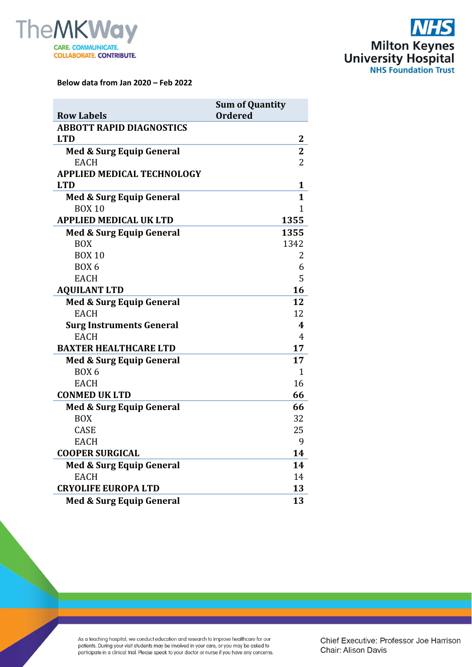



**Below data from Jan 2020 – Feb 2022**

|                                     | <b>Sum of Quantity</b>  |  |
|-------------------------------------|-------------------------|--|
| <b>Row Labels</b>                   | <b>Ordered</b>          |  |
| <b>ABBOTT RAPID DIAGNOSTICS</b>     |                         |  |
| <b>LTD</b>                          | 2                       |  |
| Med & Surg Equip General            | $\overline{\mathbf{2}}$ |  |
| <b>EACH</b>                         | $\overline{2}$          |  |
| <b>APPLIED MEDICAL TECHNOLOGY</b>   |                         |  |
| <b>LTD</b>                          | $\mathbf{1}$            |  |
| <b>Med &amp; Surg Equip General</b> | 1                       |  |
| <b>BOX 10</b>                       | 1                       |  |
| <b>APPLIED MEDICAL UK LTD</b>       | 1355                    |  |
| <b>Med &amp; Surg Equip General</b> | 1355                    |  |
| <b>BOX</b>                          | 1342                    |  |
| <b>BOX 10</b>                       | 2                       |  |
| BOX <sub>6</sub>                    | 6                       |  |
| <b>EACH</b>                         | 5                       |  |
| <b>AQUILANT LTD</b>                 | 16                      |  |
| <b>Med &amp; Surg Equip General</b> | 12                      |  |
| <b>EACH</b>                         | 12                      |  |
| <b>Surg Instruments General</b>     | 4                       |  |
| <b>EACH</b>                         | $\overline{4}$          |  |
| <b>BAXTER HEALTHCARE LTD</b>        | 17                      |  |
| <b>Med &amp; Surg Equip General</b> | 17                      |  |
| <b>BOX 6</b>                        | $\mathbf{1}$            |  |
| <b>EACH</b>                         | 16                      |  |
| <b>CONMED UK LTD</b>                | 66                      |  |
| <b>Med &amp; Surg Equip General</b> | 66                      |  |
| <b>BOX</b>                          | 32                      |  |
| <b>CASE</b>                         | 25                      |  |
| <b>EACH</b>                         | 9                       |  |
| <b>COOPER SURGICAL</b>              | 14                      |  |
| Med & Surg Equip General            | 14                      |  |
| <b>EACH</b>                         | 14                      |  |
| <b>CRYOLIFE EUROPA LTD</b>          | 13                      |  |
| <b>Med &amp; Surg Equip General</b> | 13                      |  |

As a teaching hospital, we conduct education and research to improve healthcare for our patients. During your visit students may be involved in your care, or you may be asked to participate in a clinical trial. Please spea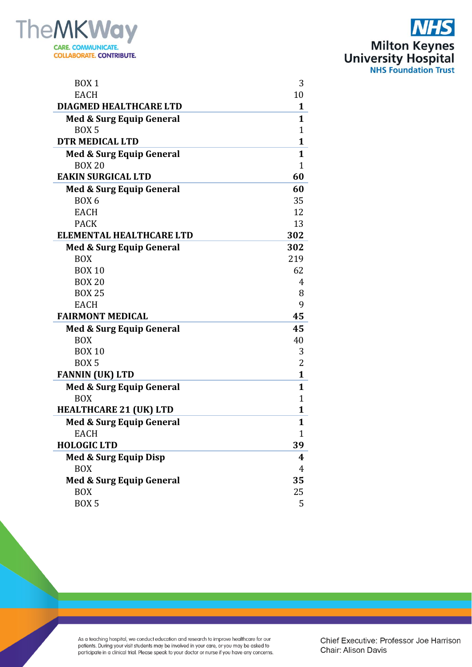



| BOX <sub>1</sub>                    | 3            |
|-------------------------------------|--------------|
| <b>EACH</b>                         | 10           |
| DIAGMED HEALTHCARE LTD              | 1            |
| <b>Med &amp; Surg Equip General</b> | 1            |
| BOX <sub>5</sub>                    | 1            |
| <b>DTR MEDICAL LTD</b>              | 1            |
| <b>Med &amp; Surg Equip General</b> | 1            |
| <b>BOX 20</b>                       | $\mathbf{1}$ |
| <b>EAKIN SURGICAL LTD</b>           | 60           |
| <b>Med &amp; Surg Equip General</b> | 60           |
| BOX <sub>6</sub>                    | 35           |
| <b>EACH</b>                         | 12           |
| <b>PACK</b>                         | 13           |
| <b>ELEMENTAL HEALTHCARE LTD</b>     | 302          |
| <b>Med &amp; Surg Equip General</b> | 302          |
| <b>BOX</b>                          | 219          |
| <b>BOX 10</b>                       | 62           |
| <b>BOX 20</b>                       | 4            |
| <b>BOX 25</b>                       | 8            |
| <b>EACH</b>                         | 9            |
| <b>FAIRMONT MEDICAL</b>             | 45           |
| <b>Med &amp; Surg Equip General</b> | 45           |
| <b>BOX</b>                          | 40           |
| <b>BOX 10</b>                       | 3            |
| BOX <sub>5</sub>                    | 2            |
| <b>FANNIN (UK) LTD</b>              | $\mathbf{1}$ |
| <b>Med &amp; Surg Equip General</b> | 1            |
| <b>BOX</b>                          | $\mathbf 1$  |
| <b>HEALTHCARE 21 (UK) LTD</b>       | $\mathbf{1}$ |
| <b>Med &amp; Surg Equip General</b> | 1            |
| EACH                                | $\mathbf{1}$ |
| <b>HOLOGIC LTD</b>                  | 39           |
| Med & Surg Equip Disp               | 4            |
| <b>BOX</b>                          | 4            |
| Med & Surg Equip General            | 35           |
| <b>BOX</b>                          | 25           |
| BOX <sub>5</sub>                    | 5            |

As a teaching hospital, we conduct education and research to improve healthcare for our patients. During your visit students may be involved in your care, or you may be asked to participate in a clinical trial. Please spea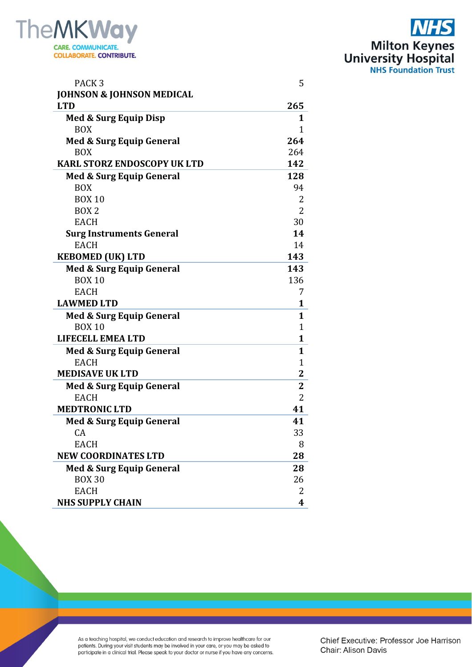

| PACK <sub>3</sub>                    | 5              |
|--------------------------------------|----------------|
| <b>JOHNSON &amp; JOHNSON MEDICAL</b> |                |
| <b>LTD</b>                           | 265            |
| Med & Surg Equip Disp                | 1              |
| <b>BOX</b>                           | 1              |
| <b>Med &amp; Surg Equip General</b>  | 264            |
| <b>BOX</b>                           | 264            |
| <b>KARL STORZ ENDOSCOPY UK LTD</b>   | 142            |
| <b>Med &amp; Surg Equip General</b>  | 128            |
| <b>BOX</b>                           | 94             |
| <b>BOX 10</b>                        | 2              |
| BOX <sub>2</sub>                     | 2              |
| <b>EACH</b>                          | 30             |
| <b>Surg Instruments General</b>      | 14             |
| <b>EACH</b>                          | 14             |
| <b>KEBOMED (UK) LTD</b>              | 143            |
| <b>Med &amp; Surg Equip General</b>  | 143            |
| <b>BOX 10</b>                        | 136            |
| <b>EACH</b>                          | 7              |
| <b>LAWMED LTD</b>                    | $\mathbf{1}$   |
| <b>Med &amp; Surg Equip General</b>  | $\mathbf{1}$   |
| <b>BOX 10</b>                        | $\mathbf{1}$   |
| LIFECELL EMEA LTD                    | $\mathbf{1}$   |
| <b>Med &amp; Surg Equip General</b>  | $\mathbf{1}$   |
| <b>EACH</b>                          | $\mathbf{1}$   |
| <b>MEDISAVE UK LTD</b>               | $\overline{2}$ |
| <b>Med &amp; Surg Equip General</b>  | $\mathbf{2}$   |
| <b>EACH</b>                          | $\overline{2}$ |
| <b>MEDTRONIC LTD</b>                 | 41             |
| <b>Med &amp; Surg Equip General</b>  | 41             |
| CA                                   | 33             |
| <b>EACH</b>                          | 8              |
| <b>NEW COORDINATES LTD</b>           | 28             |
| Med & Surg Equip General             | 28             |
| <b>BOX 30</b>                        | 26             |
| <b>EACH</b>                          | 2              |
| <b>NHS SUPPLY CHAIN</b>              | 4              |
|                                      |                |

**Milton Keynes<br>University Hospital<br>NHS Foundation Trust** 

As a teaching hospital, we conduct education and research to improve healthcare for our patients. During your visit students may be involved in your care, or you may be asked to participate in a clinical trial. Please spea